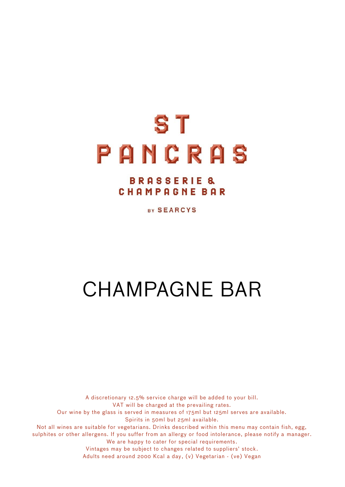# S<sub>T</sub> PANCRAS

### **BRASSERIE & CHAMPAGNE BAR**

BY SEARCYS

## CHAMPAGNE BAR

. Vintages may be subject to changes related to suppliers' stock . A discretionary 12.5% service charge will be added to your bill. VAT will be charged at the prevailing rates. Our wine by the glass is served in measures of 175ml but 125ml serves are available. Spirits in 50ml but 25ml available. Not all wines are suitable for vegetarians. Drinks described within this menu may contain fish, egg, sulphites or other allergens. If you suffer from an allergy or food intolerance, please notify a manager. We are happy to cater for special requirements. Adults need around 2000 Kcal a day , (v) Vegetarian - (ve) Vegan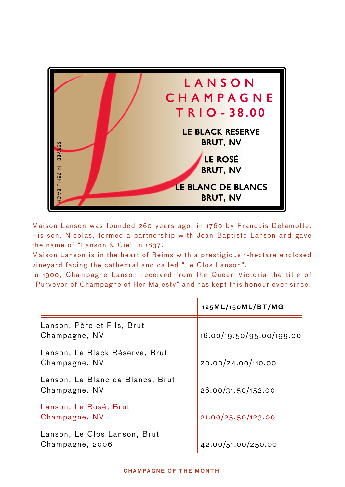

Maison Lanson was founded 260 years ago, in 1760 by Francois Delamotte. His son, Nicolas, formed a partnership with Jean -Baptiste Lanson and gave the name of "Lanson & Cie" in 1837.

Maison Lanson is in the heart of Reims with a prestigious 1-hectare enclosed vineyard facing the cathedral and called "Le Clos Lanson".

In 1900, Champagne Lanson received from the Queen Victoria the title of

|                                                   | 125ML/150ML/BT/MG        |
|---------------------------------------------------|--------------------------|
| Lanson, Père et Fils, Brut<br>Champagne, NV       | 16.00/19.50/95.00/199.00 |
| Lanson, Le Black Réserve, Brut<br>Champagne, NV   | 20.00/24.00/110.00       |
| Lanson, Le Blanc de Blancs, Brut<br>Champagne, NV | 26.00/31.50/152.00       |
| Lanson, Le Rosé, Brut<br>Champagne, NV            | 21.00/25.50/123.00       |
| Lanson, Le Clos Lanson, Brut<br>Champagne, 2006   | 42.00/51.00/250.00       |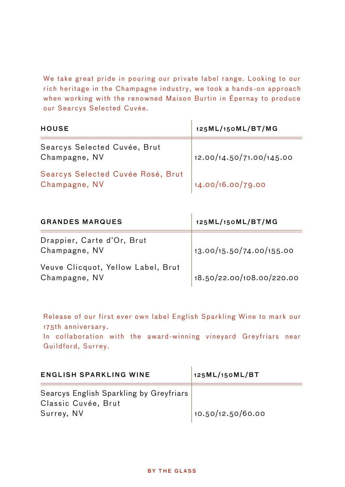We take great pride in pouring our private label range. Looking to our rich heritage in the Champagne industry, we took a hands -on approach when working with the renowned Maison Burtin in Épernay to produce our Searcys Selected Cuvée.

| <b>HOUSE</b>                                       | 125ML/150ML/BT/MG        |
|----------------------------------------------------|--------------------------|
| Searcys Selected Cuvée, Brut<br>Champagne, NV      | 12.00/14.50/71.00/145.00 |
| Searcys Selected Cuvée Rosé, Brut<br>Champagne, NV | 14.00/16.00/79.00        |

| <b>GRANDES MARQUES</b>                              | 125ML/150ML/BT/MG         |
|-----------------------------------------------------|---------------------------|
| Drappier, Carte d'Or, Brut<br>Champagne, NV         | 13.00/15.50/74.00/155.00  |
| Veuve Clicquot, Yellow Label, Brut<br>Champagne, NV | 18.50/22.00/108.00/220.00 |

Release of our first ever own label English Sparkling Wine to mark our 175th anniversary. In collaboration with the award-winning vineyard Greyfriars near Guildford, Surrey.

| <b>ENGLISH SPARKLING WINE</b>                                                | 125ML/150ML/BT    |
|------------------------------------------------------------------------------|-------------------|
| Searcys English Sparkling by Greyfriars<br>Classic Cuvée, Brut<br>Surrey, NV | 10.50/12.50/60.00 |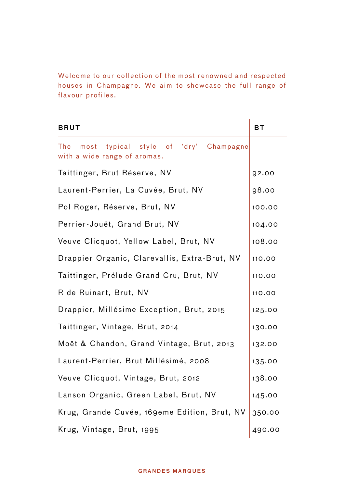Welcome to our collection of the most renowned and respected houses in Champagne. We aim to showcase the full range of flavour profiles.

| BRUT                                                                               | ВT     |
|------------------------------------------------------------------------------------|--------|
| of 'dry' Champagne<br>The<br>typical style<br>most<br>with a wide range of aromas. |        |
| Taittinger, Brut Réserve, NV                                                       | 92.00  |
| Laurent-Perrier, La Cuvée, Brut, NV                                                | 98.00  |
| Pol Roger, Réserve, Brut, NV                                                       | 100.00 |
| Perrier-Jouët, Grand Brut, NV                                                      | 104.00 |
| Veuve Clicquot, Yellow Label, Brut, NV                                             | 108.00 |
| Drappier Organic, Clarevallis, Extra-Brut, NV                                      | 110.00 |
| Taittinger, Prélude Grand Cru, Brut, NV                                            | 110.00 |
| R de Ruinart, Brut, NV                                                             | 110.00 |
| Drappier, Millésime Exception, Brut, 2015                                          | 125.00 |
| Taittinger, Vintage, Brut, 2014                                                    | 130.00 |
| Moët & Chandon, Grand Vintage, Brut, 2013                                          | 132.00 |
| Laurent-Perrier, Brut Millésimé, 2008                                              | 135.00 |
| Veuve Clicquot, Vintage, Brut, 2012                                                | 138.00 |
| Lanson Organic, Green Label, Brut, NV                                              | 145.00 |
| Krug, Grande Cuvée, 169eme Edition, Brut, NV                                       | 350.00 |
| Krug, Vintage, Brut, 1995                                                          | 490.00 |

#### **GRANDES MARQUES**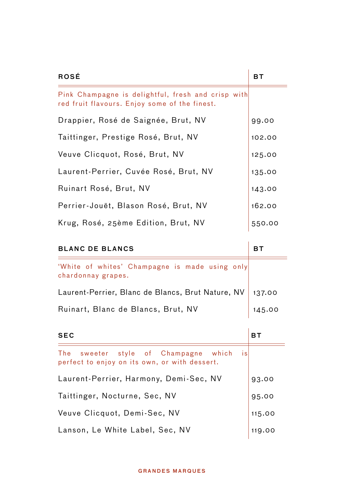| ROSÉ                                                                                                | вт     |
|-----------------------------------------------------------------------------------------------------|--------|
| Pink Champagne is delightful, fresh and crisp with<br>red fruit flavours. Enjoy some of the finest. |        |
| Drappier, Rosé de Saignée, Brut, NV                                                                 | 99.00  |
| Taittinger, Prestige Rosé, Brut, NV                                                                 | 102.00 |
| Veuve Clicquot, Rosé, Brut, NV                                                                      | 125.00 |
| Laurent-Perrier, Cuvée Rosé, Brut, NV                                                               | 135.00 |
| Ruinart Rosé, Brut, NV                                                                              | 143.00 |
| Perrier-Jouët, Blason Rosé, Brut, NV                                                                | 162.00 |
| Krug, Rosé, 25ème Edition, Brut, NV                                                                 | 550.00 |

| <b>BLANC DE BLANCS</b>                                                                       | вT        |
|----------------------------------------------------------------------------------------------|-----------|
| 'White of whites' Champagne is made using only<br>chardonnay grapes.                         |           |
| Laurent-Perrier, Blanc de Blancs, Brut Nature, NV                                            | 137.00    |
| Ruinart, Blanc de Blancs, Brut, NV                                                           | 145.00    |
| <b>SEC</b>                                                                                   | <b>BT</b> |
| The sweeter style of Champagne which<br>is.<br>perfect to enjoy on its own, or with dessert. |           |
| Laurent-Perrier, Harmony, Demi-Sec, NV                                                       | 93.00     |
| Taittinger, Nocturne, Sec, NV                                                                | 95.00     |
| Veuve Clicquot, Demi-Sec, NV                                                                 | 115.00    |
| Lanson, Le White Label, Sec, NV                                                              | 119.00    |

#### **GRANDES MARQUES**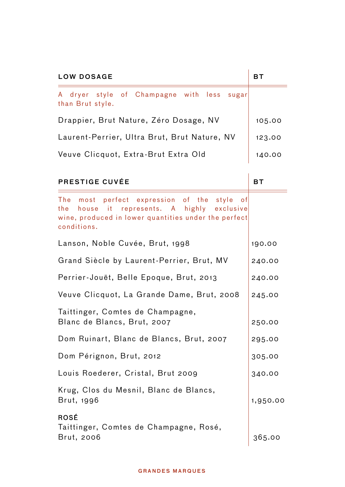| <b>LOW DOSAGE</b>                                                                                                                                                    | <b>BT</b> |
|----------------------------------------------------------------------------------------------------------------------------------------------------------------------|-----------|
| of Champagne with less<br>A dryer style<br>sugar<br>than Brut style.                                                                                                 |           |
| Drappier, Brut Nature, Zéro Dosage, NV                                                                                                                               | 105.00    |
| Laurent-Perrier, Ultra Brut, Brut Nature, NV                                                                                                                         | 123.00    |
| Veuve Clicquot, Extra-Brut Extra Old                                                                                                                                 | 140.00    |
| PRESTIGE CUVÉE                                                                                                                                                       | <b>BT</b> |
| The most perfect expression of the<br>style of<br>the house it represents. A highly exclusive<br>wine, produced in lower quantities under the perfect<br>conditions. |           |
| Lanson, Noble Cuvée, Brut, 1998                                                                                                                                      | 190.00    |
| Grand Siècle by Laurent-Perrier, Brut, MV                                                                                                                            | 240.00    |
| Perrier-Jouët, Belle Epoque, Brut, 2013                                                                                                                              | 240.00    |
| Veuve Clicquot, La Grande Dame, Brut, 2008                                                                                                                           | 245.00    |
| Taittinger, Comtes de Champagne,<br>Blanc de Blancs, Brut, 2007                                                                                                      | 250.00    |
| Dom Ruinart, Blanc de Blancs, Brut, 2007                                                                                                                             | 295.00    |
| Dom Pérignon, Brut, 2012                                                                                                                                             | 305.00    |
| Louis Roederer, Cristal, Brut 2009                                                                                                                                   | 340.00    |
| Krug, Clos du Mesnil, Blanc de Blancs,<br>Brut, 1996                                                                                                                 | 1,950.00  |
| ROSÉ<br>Taittinger, Comtes de Champagne, Rosé,<br>Brut, 2006                                                                                                         | 365.00    |

#### **GRANDES MARQUES**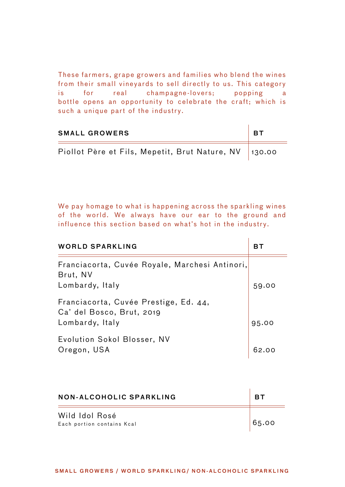These farmers, grape growers and families who blend the wines from their small vineyards to sell directly to us. This category is for real champagne -lovers; popping a bottle opens an opportunity to celebrate the craft; which is such a unique part of the industry.

| <b>SMALL GROWERS</b>                                   | . вт |
|--------------------------------------------------------|------|
| Piollot Père et Fils, Mepetit, Brut Nature, NV  130.00 |      |

 $\mathbf{r}$ 

 $\sim 10^{-11}$ 

We pay homage to what is happening across the sparkling wines of the world. We always have our ear to the ground and influence this section based on what's hot in the industry.

| <b>WORLD SPARKLING</b>                                                                | вт    |
|---------------------------------------------------------------------------------------|-------|
| Franciacorta, Cuvée Royale, Marchesi Antinori,<br>Brut, NV<br>Lombardy, Italy         | 59.00 |
| Franciacorta, Cuvée Prestige, Ed. 44,<br>Ca' del Bosco, Brut, 2019<br>Lombardy, Italy | 95.00 |
| Evolution Sokol Blosser, NV<br>Oregon, USA                                            |       |

| NON-ALCOHOLIC SPARKLING                      | RТ    |
|----------------------------------------------|-------|
| Wild Idol Rosé<br>Each portion contains Kcal | 65.00 |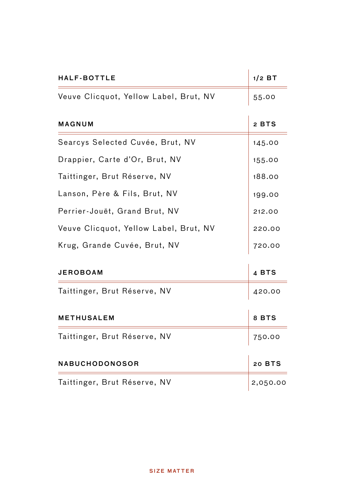| <b>HALF-BOTTLE</b>                     | $1/2$ BT |
|----------------------------------------|----------|
| Veuve Clicquot, Yellow Label, Brut, NV | 55.00    |
| MAGNUM                                 | 2 BTS    |
| Searcys Selected Cuvée, Brut, NV       | 145.00   |
| Drappier, Carte d'Or, Brut, NV         | 155.00   |
| Taittinger, Brut Réserve, NV           | 188.00   |
| Lanson, Père & Fils, Brut, NV          | 199.00   |
| Perrier-Jouët, Grand Brut, NV          | 212.00   |
| Veuve Clicquot, Yellow Label, Brut, NV | 220.00   |
| Krug, Grande Cuvée, Brut, NV           | 720.00   |
| JEROBOAM                               | 4 BTS    |
| Taittinger, Brut Réserve, NV           | 420.00   |
| METHUSALEM                             | 8 BTS    |
| Taittinger, Brut Réserve, NV           | 750.00   |
| NABUCHODONOSOR                         | 20 BTS   |
| Taittinger, Brut Réserve, NV           | 2,050.00 |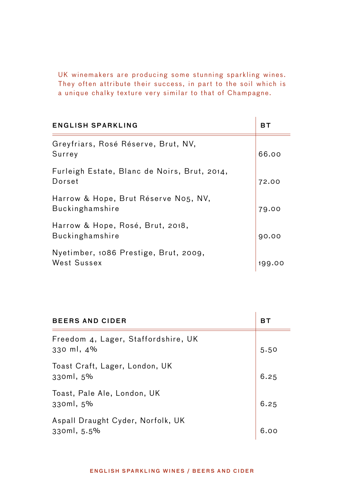UK winemakers are producing some stunning sparkling wines. They often attribute their success, in part to the soil which is a unique chalky texture very similar to that of Champagne.

| ENGLISH SPARKLING                                              | вт    |
|----------------------------------------------------------------|-------|
| Greyfriars, Rosé Réserve, Brut, NV,<br>Surrey                  | 66.00 |
| Furleigh Estate, Blanc de Noirs, Brut, 2014,<br>Dorset         | 72.00 |
| Harrow & Hope, Brut Réserve No5, NV,<br><b>Buckinghamshire</b> | 79.00 |
| Harrow & Hope, Rosé, Brut, 2018,<br><b>Buckinghamshire</b>     | 90.00 |
| Nyetimber, 1086 Prestige, Brut, 2009,<br>West Sussex           | 199   |

| <b>BEERS AND CIDER</b>                            | вт   |
|---------------------------------------------------|------|
| Freedom 4, Lager, Staffordshire, UK<br>330 ml, 4% | 5.50 |
| Toast Craft, Lager, London, UK<br>330ml, 5%       | 6.25 |
| Toast, Pale Ale, London, UK<br>330ml, 5%          | 6.25 |
| Aspall Draught Cyder, Norfolk, UK<br>330ml, 5.5%  |      |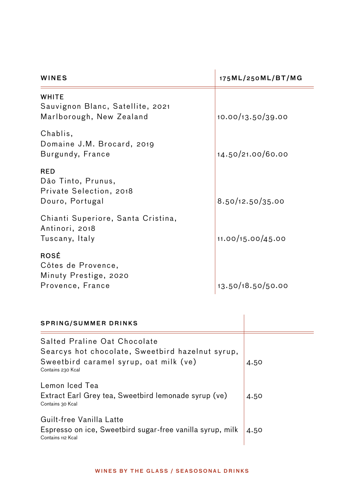| WINES                                                                          | 175ML/250ML/BT/MG |
|--------------------------------------------------------------------------------|-------------------|
| <b>WHITE</b><br>Sauvignon Blanc, Satellite, 2021<br>Marlborough, New Zealand   | 10.00/13.50/39.00 |
| Chablis,<br>Domaine J.M. Brocard, 2019<br>Burgundy, France                     | 14.50/21.00/60.00 |
| <b>RED</b><br>Dão Tinto, Prunus,<br>Private Selection, 2018<br>Douro, Portugal | 8.50/12.50/35.00  |
| Chianti Superiore, Santa Cristina,<br>Antinori, 2018<br>Tuscany, Italy         | 11.00/15.00/45.00 |
| ROSÉ<br>Côtes de Provence,<br>Minuty Prestige, 2020<br>Provence, France        | 13.50/18.50/50.00 |

| <b>SPRING/SUMMER DRINKS</b>                                                                                                                     |      |
|-------------------------------------------------------------------------------------------------------------------------------------------------|------|
| Salted Praline Oat Chocolate<br>Searcys hot chocolate, Sweetbird hazelnut syrup,<br>Sweetbird caramel syrup, oat milk (ve)<br>Contains 230 Kcal | 4.50 |
| Lemon Iced Tea<br>Extract Earl Grey tea, Sweetbird lemonade syrup (ve)<br>Contains 30 Kcal                                                      | 4.50 |
| Guilt-free Vanilla Latte<br>Espresso on ice, Sweetbird sugar-free vanilla syrup, milk<br>Contains 112 Kcal                                      | 4.50 |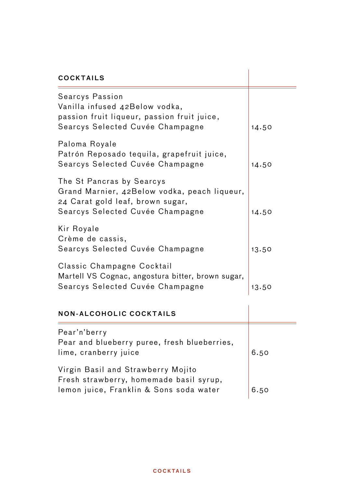| <b>COCKTAILS</b>                                                                                                                                  |       |
|---------------------------------------------------------------------------------------------------------------------------------------------------|-------|
| Searcys Passion<br>Vanilla infused 42Below vodka,<br>passion fruit liqueur, passion fruit juice,<br>Searcys Selected Cuvée Champagne              | 14.50 |
| Paloma Royale<br>Patrón Reposado tequila, grapefruit juice,<br>Searcys Selected Cuvée Champagne                                                   | 14.50 |
| The St Pancras by Searcys<br>Grand Marnier, 42Below vodka, peach liqueur,<br>24 Carat gold leaf, brown sugar,<br>Searcys Selected Cuvée Champagne | 14.50 |
| Kir Royale<br>Crème de cassis,<br>Searcys Selected Cuvée Champagne                                                                                | 13.50 |
| Classic Champagne Cocktail<br>Martell VS Cognac, angostura bitter, brown sugar,<br>Searcys Selected Cuvée Champagne                               | 13.50 |
| <b>NON-ALCOHOLIC COCKTAILS</b>                                                                                                                    |       |
| Pear'n'berry<br>Pear and blueberry puree, fresh blueberries,<br>lime, cranberry juice                                                             | 6.50  |
| Virgin Basil and Strawberry Mojito<br>Fresh strawberry, homemade basil syrup,<br>lemon juice, Franklin & Sons soda water                          | 6.50  |